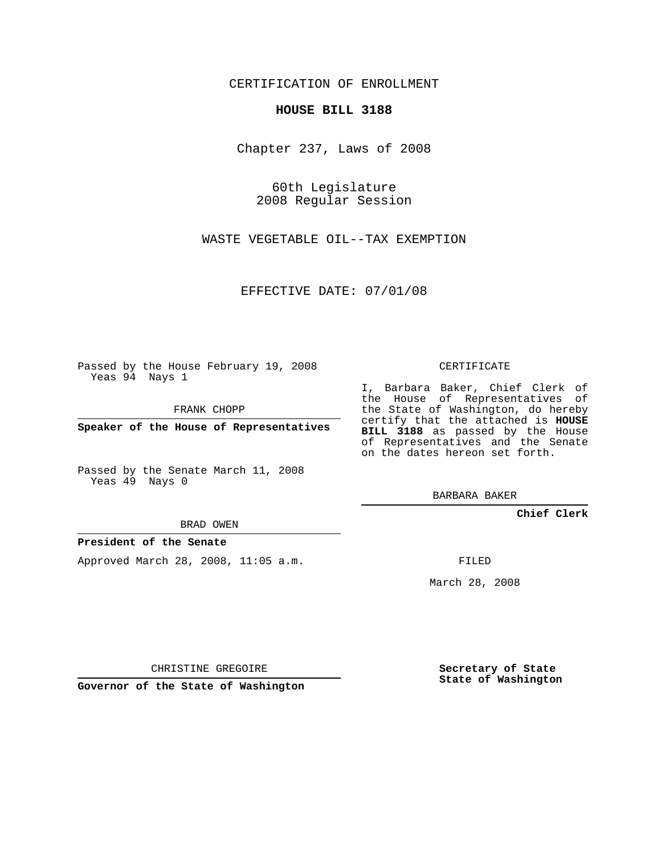CERTIFICATION OF ENROLLMENT

## **HOUSE BILL 3188**

Chapter 237, Laws of 2008

60th Legislature 2008 Regular Session

WASTE VEGETABLE OIL--TAX EXEMPTION

EFFECTIVE DATE: 07/01/08

Passed by the House February 19, 2008 Yeas 94 Nays 1

FRANK CHOPP

**Speaker of the House of Representatives**

Passed by the Senate March 11, 2008 Yeas 49 Nays 0

BRAD OWEN

## **President of the Senate**

Approved March 28, 2008, 11:05 a.m.

CERTIFICATE

I, Barbara Baker, Chief Clerk of the House of Representatives of the State of Washington, do hereby certify that the attached is **HOUSE BILL 3188** as passed by the House of Representatives and the Senate on the dates hereon set forth.

BARBARA BAKER

**Chief Clerk**

FILED

March 28, 2008

CHRISTINE GREGOIRE

**Governor of the State of Washington**

**Secretary of State State of Washington**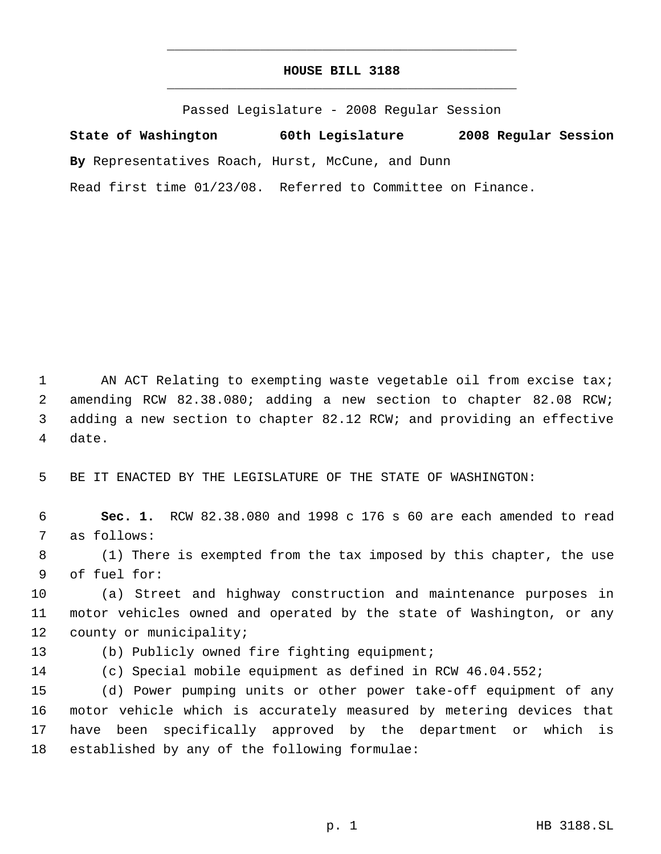## **HOUSE BILL 3188** \_\_\_\_\_\_\_\_\_\_\_\_\_\_\_\_\_\_\_\_\_\_\_\_\_\_\_\_\_\_\_\_\_\_\_\_\_\_\_\_\_\_\_\_\_

\_\_\_\_\_\_\_\_\_\_\_\_\_\_\_\_\_\_\_\_\_\_\_\_\_\_\_\_\_\_\_\_\_\_\_\_\_\_\_\_\_\_\_\_\_

Passed Legislature - 2008 Regular Session

**State of Washington 60th Legislature 2008 Regular Session By** Representatives Roach, Hurst, McCune, and Dunn Read first time 01/23/08. Referred to Committee on Finance.

1 AN ACT Relating to exempting waste vegetable oil from excise tax; amending RCW 82.38.080; adding a new section to chapter 82.08 RCW; adding a new section to chapter 82.12 RCW; and providing an effective date.

BE IT ENACTED BY THE LEGISLATURE OF THE STATE OF WASHINGTON:

 **Sec. 1.** RCW 82.38.080 and 1998 c 176 s 60 are each amended to read as follows:

 (1) There is exempted from the tax imposed by this chapter, the use of fuel for:

 (a) Street and highway construction and maintenance purposes in motor vehicles owned and operated by the state of Washington, or any county or municipality;

- (b) Publicly owned fire fighting equipment;
- 

(c) Special mobile equipment as defined in RCW 46.04.552;

 (d) Power pumping units or other power take-off equipment of any motor vehicle which is accurately measured by metering devices that have been specifically approved by the department or which is established by any of the following formulae: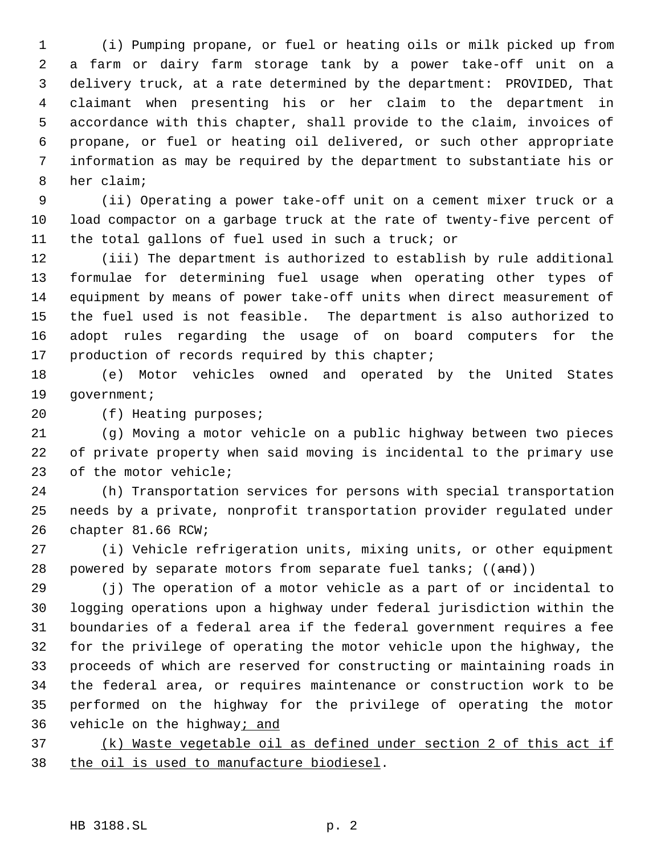(i) Pumping propane, or fuel or heating oils or milk picked up from a farm or dairy farm storage tank by a power take-off unit on a delivery truck, at a rate determined by the department: PROVIDED, That claimant when presenting his or her claim to the department in accordance with this chapter, shall provide to the claim, invoices of propane, or fuel or heating oil delivered, or such other appropriate information as may be required by the department to substantiate his or her claim;

 (ii) Operating a power take-off unit on a cement mixer truck or a load compactor on a garbage truck at the rate of twenty-five percent of the total gallons of fuel used in such a truck; or

 (iii) The department is authorized to establish by rule additional formulae for determining fuel usage when operating other types of equipment by means of power take-off units when direct measurement of the fuel used is not feasible. The department is also authorized to adopt rules regarding the usage of on board computers for the 17 production of records required by this chapter;

 (e) Motor vehicles owned and operated by the United States government;

(f) Heating purposes;

 (g) Moving a motor vehicle on a public highway between two pieces of private property when said moving is incidental to the primary use of the motor vehicle;

 (h) Transportation services for persons with special transportation needs by a private, nonprofit transportation provider regulated under chapter 81.66 RCW;

 (i) Vehicle refrigeration units, mixing units, or other equipment 28 powered by separate motors from separate fuel tanks; ((and))

 (j) The operation of a motor vehicle as a part of or incidental to logging operations upon a highway under federal jurisdiction within the boundaries of a federal area if the federal government requires a fee for the privilege of operating the motor vehicle upon the highway, the proceeds of which are reserved for constructing or maintaining roads in the federal area, or requires maintenance or construction work to be performed on the highway for the privilege of operating the motor 36 vehicle on the highway; and

 (k) Waste vegetable oil as defined under section 2 of this act if 38 the oil is used to manufacture biodiesel.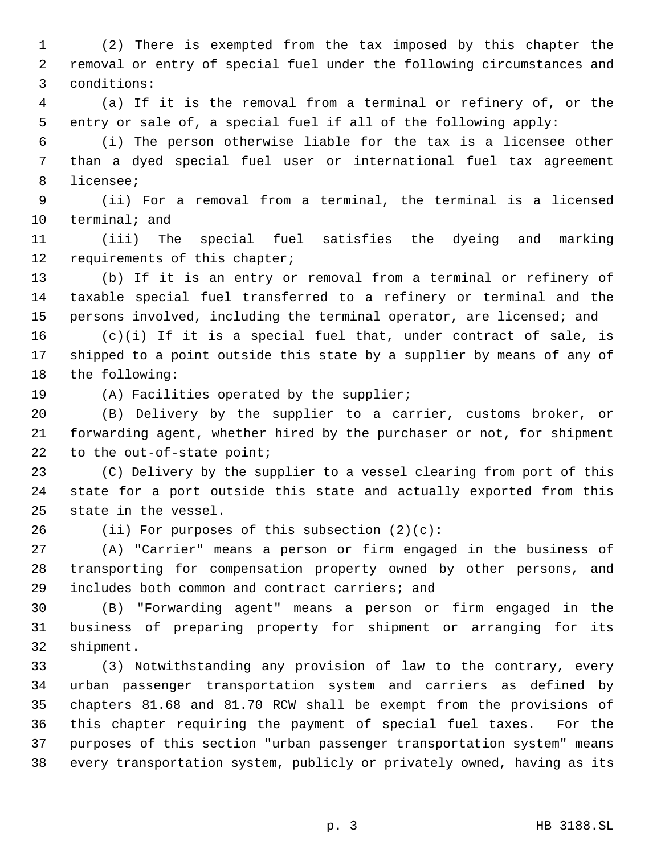(2) There is exempted from the tax imposed by this chapter the removal or entry of special fuel under the following circumstances and conditions:

 (a) If it is the removal from a terminal or refinery of, or the entry or sale of, a special fuel if all of the following apply:

 (i) The person otherwise liable for the tax is a licensee other than a dyed special fuel user or international fuel tax agreement licensee;

 (ii) For a removal from a terminal, the terminal is a licensed terminal; and

 (iii) The special fuel satisfies the dyeing and marking requirements of this chapter;

 (b) If it is an entry or removal from a terminal or refinery of taxable special fuel transferred to a refinery or terminal and the persons involved, including the terminal operator, are licensed; and

 (c)(i) If it is a special fuel that, under contract of sale, is shipped to a point outside this state by a supplier by means of any of the following:

(A) Facilities operated by the supplier;

 (B) Delivery by the supplier to a carrier, customs broker, or forwarding agent, whether hired by the purchaser or not, for shipment to the out-of-state point;

 (C) Delivery by the supplier to a vessel clearing from port of this state for a port outside this state and actually exported from this state in the vessel.

(ii) For purposes of this subsection (2)(c):

 (A) "Carrier" means a person or firm engaged in the business of transporting for compensation property owned by other persons, and includes both common and contract carriers; and

 (B) "Forwarding agent" means a person or firm engaged in the business of preparing property for shipment or arranging for its shipment.

 (3) Notwithstanding any provision of law to the contrary, every urban passenger transportation system and carriers as defined by chapters 81.68 and 81.70 RCW shall be exempt from the provisions of this chapter requiring the payment of special fuel taxes. For the purposes of this section "urban passenger transportation system" means every transportation system, publicly or privately owned, having as its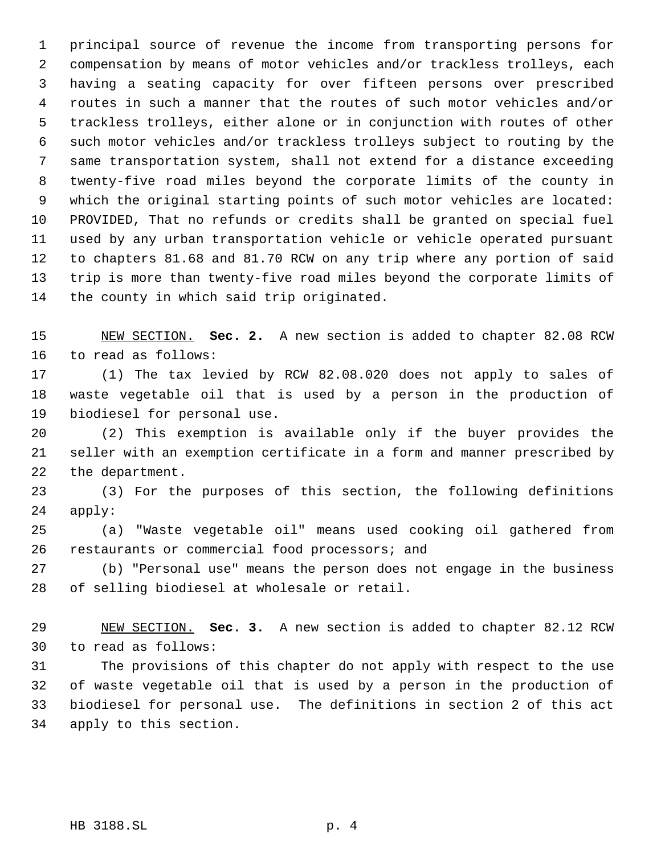principal source of revenue the income from transporting persons for compensation by means of motor vehicles and/or trackless trolleys, each having a seating capacity for over fifteen persons over prescribed routes in such a manner that the routes of such motor vehicles and/or trackless trolleys, either alone or in conjunction with routes of other such motor vehicles and/or trackless trolleys subject to routing by the same transportation system, shall not extend for a distance exceeding twenty-five road miles beyond the corporate limits of the county in which the original starting points of such motor vehicles are located: PROVIDED, That no refunds or credits shall be granted on special fuel used by any urban transportation vehicle or vehicle operated pursuant to chapters 81.68 and 81.70 RCW on any trip where any portion of said trip is more than twenty-five road miles beyond the corporate limits of the county in which said trip originated.

 NEW SECTION. **Sec. 2.** A new section is added to chapter 82.08 RCW to read as follows:

 (1) The tax levied by RCW 82.08.020 does not apply to sales of waste vegetable oil that is used by a person in the production of biodiesel for personal use.

 (2) This exemption is available only if the buyer provides the seller with an exemption certificate in a form and manner prescribed by the department.

 (3) For the purposes of this section, the following definitions apply:

 (a) "Waste vegetable oil" means used cooking oil gathered from restaurants or commercial food processors; and

 (b) "Personal use" means the person does not engage in the business of selling biodiesel at wholesale or retail.

 NEW SECTION. **Sec. 3.** A new section is added to chapter 82.12 RCW to read as follows:

 The provisions of this chapter do not apply with respect to the use of waste vegetable oil that is used by a person in the production of biodiesel for personal use. The definitions in section 2 of this act apply to this section.